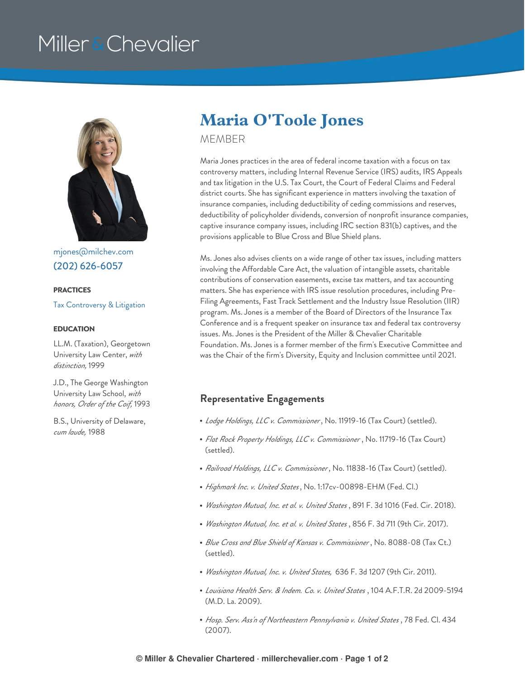# Miller & Chevalier



[mjones@milchev.com](mailto:mjones@milchev.com) (202) [626-6057](tel:202-626-6057)

#### **PRACTICES**

Tax [Controversy](https://www.millerchevalier.com/practice-area/tax-controversy-litigation) & Litigation

#### **EDUCATION**

LL.M. (Taxation), Georgetown University Law Center, *with distinction,* 1999

J.D., The George Washington University Law School, *with honors, Order of the Coif,* 1993

B.S., University of Delaware, *cum laude,* 1988

## **Maria O'Toole Jones**

MEMBER

Maria Jones practices in the area of federal income taxation with a focus on tax controversy matters, including Internal Revenue Service (IRS) audits, IRS Appeals and tax litigation in the U.S. Tax Court, the Court of Federal Claims and Federal district courts. She has significant experience in matters involving the taxation of insurance companies, including deductibility of ceding commissions and reserves, deductibility of policyholder dividends, conversion of nonprofit insurance companies, captive insurance company issues, including IRC section 831(b) captives, and the provisions applicable to Blue Cross and Blue Shield plans.

Ms. Jones also advises clients on a wide range of other tax issues, including matters involving the Affordable Care Act, the valuation of intangible assets, charitable contributions of conservation easements, excise tax matters, and tax accounting matters. She has experience with IRS issue resolution procedures, including Pre-Filing Agreements, Fast Track Settlement and the Industry Issue Resolution (IIR) program. Ms. Jones is a member of the Board of Directors of the Insurance Tax Conference and is a frequent speaker on insurance tax and federal tax controversy issues. Ms. Jones is the President of the Miller & Chevalier Charitable Foundation. Ms. Jones is a former member of the firm's Executive Committee and was the Chair of the firm's Diversity, Equity and Inclusion committee until 2021.

### **Representative Engagements**

- *Lodge Holdings, LLC v. Commissioner* , No. 11919-16 (Tax Court) (settled).
- *Flat Rock Property Holdings, LLC v. Commissioner* , No. 11719-16 (Tax Court) (settled).
- *Railroad Holdings, LLC v. Commissioner* , No. 11838-16 (Tax Court) (settled).
- *Highmark Inc. v. United States*, No. 1:17cv-00898-EHM (Fed. Cl.)
- *Washington Mutual, Inc. et al. v. United States* , 891 F. 3d 1016 (Fed. Cir. 2018).
- *Washington Mutual, Inc. et al. v. United States* , 856 F. 3d 711 (9th Cir. 2017).
- *Blue Cross and Blue Shield of Kansas v. Commissioner* , No. 8088-08 (Tax Ct.) (settled).
- *Washington Mutual, Inc. v. United States,* 636 F. 3d 1207 (9th Cir. 2011).
- *Louisiana Health Serv. & Indem. Co. v. United States* , 104 A.F.T.R. 2d 2009-5194 (M.D. La. 2009).
- *Hosp. Serv. Ass'n of Northeastern Pennsylvania v. United States* , 78 Fed. Cl. 434 (2007).